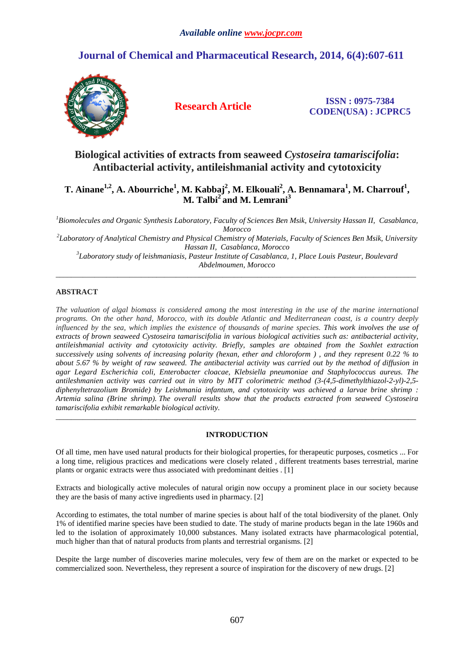# **Journal of Chemical and Pharmaceutical Research, 2014, 6(4):607-611**



**Research Article ISSN : 0975-7384 CODEN(USA) : JCPRC5**

# **Biological activities of extracts from seaweed** *Cystoseira tamariscifolia***: Antibacterial activity, antileishmanial activity and cytotoxicity**

# **T. Ainane1,2, A. Abourriche<sup>1</sup> , M. Kabbaj<sup>2</sup> , M. Elkouali<sup>2</sup> , A. Bennamara<sup>1</sup> , M. Charrouf<sup>1</sup> , M. Talbi<sup>2</sup>and M. Lemrani<sup>3</sup>**

*<sup>1</sup>Biomolecules and Organic Synthesis Laboratory, Faculty of Sciences Ben Msik, University Hassan II, Casablanca, Morocco* 

*2 Laboratory of Analytical Chemistry and Physical Chemistry of Materials, Faculty of Sciences Ben Msik, University Hassan II, Casablanca, Morocco* 

*3 Laboratory study of leishmaniasis, Pasteur Institute of Casablanca, 1, Place Louis Pasteur, Boulevard Abdelmoumen, Morocco*  \_\_\_\_\_\_\_\_\_\_\_\_\_\_\_\_\_\_\_\_\_\_\_\_\_\_\_\_\_\_\_\_\_\_\_\_\_\_\_\_\_\_\_\_\_\_\_\_\_\_\_\_\_\_\_\_\_\_\_\_\_\_\_\_\_\_\_\_\_\_\_\_\_\_\_\_\_\_\_\_\_\_\_\_\_\_\_\_\_\_\_\_\_

## **ABSTRACT**

*The valuation of algal biomass is considered among the most interesting in the use of the marine international programs. On the other hand, Morocco, with its double Atlantic and Mediterranean coast, is a country deeply influenced by the sea, which implies the existence of thousands of marine species. This work involves the use of extracts of brown seaweed Cystoseira tamariscifolia in various biological activities such as: antibacterial activity, antileishmanial activity and cytotoxicity activity. Briefly, samples are obtained from the Soxhlet extraction successively using solvents of increasing polarity (hexan, ether and chloroform ) , and they represent 0.22 % to about 5.67 % by weight of raw seaweed. The antibacterial activity was carried out by the method of diffusion in agar Legard Escherichia coli, Enterobacter cloacae, Klebsiella pneumoniae and Staphylococcus aureus. The antileshmanien activity was carried out in vitro by MTT colorimetric method (3-(4,5-dimethylthiazol-2-yl)-2,5 diphenyltetrazolium Bromide) by Leishmania infantum, and cytotoxicity was achieved a larvae brine shrimp : Artemia salina (Brine shrimp). The overall results show that the products extracted from seaweed Cystoseira tamariscifolia exhibit remarkable biological activity.*  \_\_\_\_\_\_\_\_\_\_\_\_\_\_\_\_\_\_\_\_\_\_\_\_\_\_\_\_\_\_\_\_\_\_\_\_\_\_\_\_\_\_\_\_\_\_\_\_\_\_\_\_\_\_\_\_\_\_\_\_\_\_\_\_\_\_\_\_\_\_\_\_\_\_\_\_\_\_\_\_\_\_\_\_\_\_\_\_\_\_\_\_\_

## **INTRODUCTION**

Of all time, men have used natural products for their biological properties, for therapeutic purposes, cosmetics ... For a long time, religious practices and medications were closely related , different treatments bases terrestrial, marine plants or organic extracts were thus associated with predominant deities . [1]

Extracts and biologically active molecules of natural origin now occupy a prominent place in our society because they are the basis of many active ingredients used in pharmacy. [2]

According to estimates, the total number of marine species is about half of the total biodiversity of the planet. Only 1% of identified marine species have been studied to date. The study of marine products began in the late 1960s and led to the isolation of approximately 10,000 substances. Many isolated extracts have pharmacological potential, much higher than that of natural products from plants and terrestrial organisms. [2]

Despite the large number of discoveries marine molecules, very few of them are on the market or expected to be commercialized soon. Nevertheless, they represent a source of inspiration for the discovery of new drugs. [2]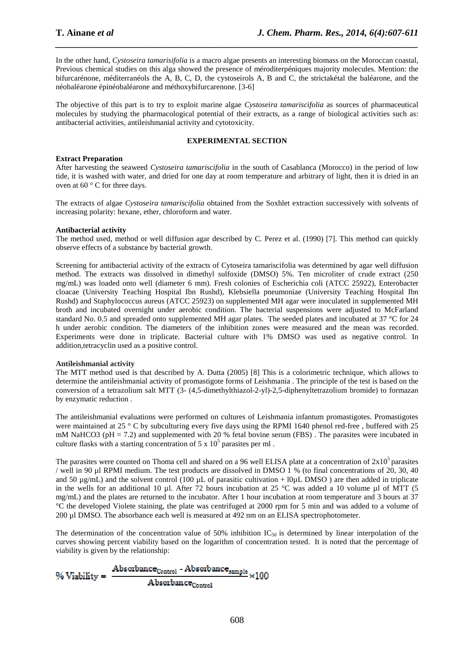In the other hand, *Cystoseira tamarisifolia* is a macro algae presents an interesting biomass on the Moroccan coastal, Previous chemical studies on this alga showed the presence of méroditerpéniques majority molecules. Mention: the bifurcarénone, méditerranéols the A, B, C, D, the cystoseirols A, B and C, the strictakétal the baléarone, and the néobaléarone épinéobaléarone and méthoxybifurcarenone. [3-6]

*\_\_\_\_\_\_\_\_\_\_\_\_\_\_\_\_\_\_\_\_\_\_\_\_\_\_\_\_\_\_\_\_\_\_\_\_\_\_\_\_\_\_\_\_\_\_\_\_\_\_\_\_\_\_\_\_\_\_\_\_\_\_\_\_\_\_\_\_\_\_\_\_\_\_\_\_\_\_*

The objective of this part is to try to exploit marine algae *Cystoseira tamariscifolia* as sources of pharmaceutical molecules by studying the pharmacological potential of their extracts, as a range of biological activities such as: antibacterial activities, antileishmanial activity and cytotoxicity.

### **EXPERIMENTAL SECTION**

### **Extract Preparation**

After harvesting the seaweed *Cystoseira tamariscifolia* in the south of Casablanca (Morocco) in the period of low tide, it is washed with water, and dried for one day at room temperature and arbitrary of light, then it is dried in an oven at 60 ° C for three days.

The extracts of algae *Cystoseira tamariscifolia* obtained from the Soxhlet extraction successively with solvents of increasing polarity: hexane, ether, chloroform and water.

### **Antibacterial activity**

The method used, method or well diffusion agar described by C. Perez et al. (1990) [7]. This method can quickly observe effects of a substance by bacterial growth.

Screening for antibacterial activity of the extracts of Cytoseira tamariscifolia was determined by agar well diffusion method. The extracts was dissolved in dimethyl sulfoxide (DMSO) 5%. Ten microliter of crude extract (250 mg/mL) was loaded onto well (diameter 6 mm). Fresh colonies of Escherichia coli (ATCC 25922), Enterobacter cloacae (University Teaching Hospital Ibn Rushd), Klebsiella pneumoniae (University Teaching Hospital Ibn Rushd) and Staphylococcus aureus (ATCC 25923) on supplemented MH agar were inoculated in supplemented MH broth and incubated overnight under aerobic condition. The bacterial suspensions were adjusted to McFarland standard No. 0.5 and spreaded onto supplemented MH agar plates. The seeded plates and incubated at 37 °C for 24 h under aerobic condition. The diameters of the inhibition zones were measured and the mean was recorded. Experiments were done in triplicate. Bacterial culture with 1% DMSO was used as negative control. In addition,tetracyclin used as a positive control.

#### **Antileishmanial activity**

The MTT method used is that described by A. Dutta (2005) [8] This is a colorimetric technique, which allows to determine the antileishmanial activity of promastigote forms of Leishmania . The principle of the test is based on the conversion of a tetrazolium salt MTT (3- (4,5-dimethylthiazol-2-yl)-2,5-diphenyltetrazolium bromide) to formazan by enzymatic reduction .

The antileishmanial evaluations were performed on cultures of Leishmania infantum promastigotes. Promastigotes were maintained at 25 ° C by subculturing every five days using the RPMI 1640 phenol red-free, buffered with 25 mM NaHCO3 (pH = 7.2) and supplemented with 20 % fetal bovine serum (FBS). The parasites were incubated in culture flasks with a starting concentration of  $5 \times 10^5$  parasites per ml.

The parasites were counted on Thoma cell and shared on a 96 well ELISA plate at a concentration of  $2x10<sup>5</sup>$  parasites / well in 90 µl RPMI medium. The test products are dissolved in DMSO 1 % (to final concentrations of 20, 30, 40 and 50  $\mu$ g/mL) and the solvent control (100  $\mu$ L of parasitic cultivation + l0 $\mu$ L DMSO) are then added in triplicate in the wells for an additional 10 µl. After 72 hours incubation at 25 °C was added a 10 volume µl of MTT (5 mg/mL) and the plates are returned to the incubator. After 1 hour incubation at room temperature and 3 hours at 37 °C the developed Violete staining, the plate was centrifuged at 2000 rpm for 5 min and was added to a volume of 200 µl DMSO. The absorbance each well is measured at 492 nm on an ELISA spectrophotometer.

The determination of the concentration value of 50% inhibition  $IC_{50}$  is determined by linear interpolation of the curves showing percent viability based on the logarithm of concentration tested. It is noted that the percentage of viability is given by the relationship:

 $\frac{\text{Absorbance}_{\text{Control}} - \text{Absorbance}_{\text{sample}}}{\sim 100}$  $96$  Viability = Absorbance<sub>Control</sub>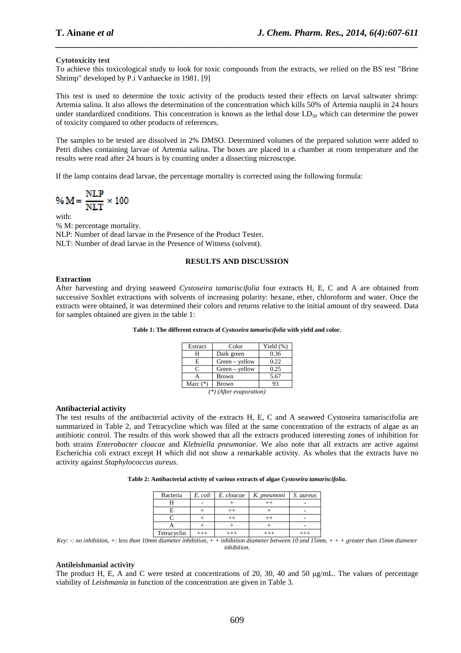## **Cytotoxicity test**

To achieve this toxicological study to look for toxic compounds from the extracts, we relied on the BS test "Brine Shrimp" developed by P.i Vanhaecke in 1981. [9]

*\_\_\_\_\_\_\_\_\_\_\_\_\_\_\_\_\_\_\_\_\_\_\_\_\_\_\_\_\_\_\_\_\_\_\_\_\_\_\_\_\_\_\_\_\_\_\_\_\_\_\_\_\_\_\_\_\_\_\_\_\_\_\_\_\_\_\_\_\_\_\_\_\_\_\_\_\_\_*

This test is used to determine the toxic activity of the products tested their effects on larval saltwater shrimp: Artemia salina. It also allows the determination of the concentration which kills 50% of Artemia nauplii in 24 hours under standardized conditions. This concentration is known as the lethal dose  $LD_{50}$  which can determine the power of toxicity compared to other products of references.

The samples to be tested are dissolved in 2% DMSO. Determined volumes of the prepared solution were added to Petri dishes containing larvae of Artemia salina. The boxes are placed in a chamber at room temperature and the results were read after 24 hours is by counting under a dissecting microscope.

If the lamp contains dead larvae, the percentage mortality is corrected using the following formula:

$$
\% M = \frac{NLP}{NLT} \times 100
$$

with: % M: percentage mortality. NLP: Number of dead larvae in the Presence of the Product Tester. NLT: Number of dead larvae in the Presence of Witness (solvent).

## **RESULTS AND DISCUSSION**

### **Extraction**

After harvesting and drying seaweed *Cystoseira tamariscifolia* four extracts H, E, C and A are obtained from successive Soxhlet extractions with solvents of increasing polarity: hexane, ether, chloroform and water. Once the extracts were obtained, it was determined their colors and returns relative to the initial amount of dry seaweed. Data for samples obtained are given in the table 1:

| Table 1: The different extracts of Cystoseira tamariscifolia with yield and color. |  |  |  |
|------------------------------------------------------------------------------------|--|--|--|
|------------------------------------------------------------------------------------|--|--|--|

| Extract                   | Color            | Yield $(\% )$ |  |
|---------------------------|------------------|---------------|--|
| н                         | Dark green       | 0.36          |  |
| E                         | $Green - yellow$ | 0.22          |  |
| C                         | $Green - yellow$ | 0.25          |  |
|                           | <b>Brown</b>     | 5.67          |  |
| Marc $(*)$                | <b>Brown</b>     | 93            |  |
| $(*)$ (After evaporation) |                  |               |  |

#### **Antibacterial activity**

The test results of the antibacterial activity of the extracts H, E, C and A seaweed Cystoseira tamariscifolia are summarized in Table 2, and Tetracycline which was filed at the same concentration of the extracts of algae as an antibiotic control. The results of this work showed that all the extracts produced interesting zones of inhibition for both strains *Enterobacter cloacae* and *Klebsiella pneumoniae*. We also note that all extracts are active against Escherichia coli extract except H which did not show a remarkable activity. As wholes that the extracts have no activity against *Staphylococcus aureus*.

| Table 2: Antibacterial activity of various extracts of algae Cystoseira tamariscifolia. |  |  |
|-----------------------------------------------------------------------------------------|--|--|

| Bacteria    | $E.$ coli $\blacksquare$ | E. cloacae | K. pneumoni | S. aureus |
|-------------|--------------------------|------------|-------------|-----------|
|             |                          |            |             |           |
|             |                          |            |             |           |
|             |                          |            |             |           |
|             |                          |            |             |           |
| Tetracyclin |                          |            |             |           |

*Key: -: no inhibition, +: less than 10mm diameter inhibition, + + inhibition diameter between 10 and 15mm, + + + greater than 15mm diameter inhibition.* 

#### **Antileishmanial activity**

The product H, E, A and C were tested at concentrations of 20, 30, 40 and 50 µg/mL. The values of percentage viability of *Leishmania* in function of the concentration are given in Table 3.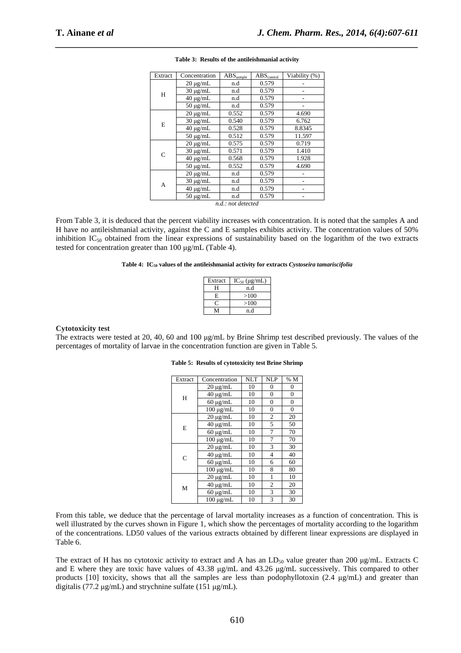| Extract | Concentration | $ABS_{\text{sample}}$ | $ABS_{control}$ | Viability (%) |
|---------|---------------|-----------------------|-----------------|---------------|
|         | $20 \mu g/mL$ | n.d                   | 0.579           |               |
| H       | $30 \mu g/mL$ | n.d                   | 0.579           |               |
|         | $40 \mu g/mL$ | n.d                   | 0.579           |               |
|         | $50 \mu g/mL$ | n.d                   | 0.579           |               |
|         | $20 \mu g/mL$ | 0.552                 | 0.579           | 4.690         |
| E       | $30 \mu g/mL$ | 0.540                 | 0.579           | 6.762         |
|         | $40 \mu g/mL$ | 0.528                 | 0.579           | 8.8345        |
|         | $50 \mu g/mL$ | 0.512                 | 0.579           | 11.597        |
|         | $20 \mu g/mL$ | 0.575                 | 0.579           | 0.719         |
| C       | $30 \mu g/mL$ | 0.571                 | 0.579           | 1.410         |
|         | $40 \mu g/mL$ | 0.568                 | 0.579           | 1.928         |
|         | $50 \mu g/mL$ | 0.552                 | 0.579           | 4.690         |
|         | $20 \mu g/mL$ | n.d                   | 0.579           |               |
| А       | $30 \mu g/mL$ | n.d                   | 0.579           |               |
|         | $40 \mu g/mL$ | n.d                   | 0.579           |               |
|         | $50 \mu g/mL$ | n.d                   | 0.579           |               |
|         |               | a dana danan d        |                 |               |

# *\_\_\_\_\_\_\_\_\_\_\_\_\_\_\_\_\_\_\_\_\_\_\_\_\_\_\_\_\_\_\_\_\_\_\_\_\_\_\_\_\_\_\_\_\_\_\_\_\_\_\_\_\_\_\_\_\_\_\_\_\_\_\_\_\_\_\_\_\_\_\_\_\_\_\_\_\_\_* **Table 3: Results of the antileishmanial activity**

*n.d.: not detected* 

From Table 3, it is deduced that the percent viability increases with concentration. It is noted that the samples A and H have no antileishmanial activity, against the C and E samples exhibits activity. The concentration values of 50% inhibition  $IC_{50}$  obtained from the linear expressions of sustainability based on the logarithm of the two extracts tested for concentration greater than 100 µg/mL (Table 4).

#### **Table 4: IC50 values of the antileishmanial activity for extracts** *Cystoseira tamariscifolia*

| Extract | $IC_{50}$ ( $\mu$ g/mL) |
|---------|-------------------------|
| н       | n.d                     |
| Е       | >100                    |
|         | >100                    |
|         | n.d                     |

#### **Cytotoxicity test**

The extracts were tested at 20, 40, 60 and 100 µg/mL by Brine Shrimp test described previously. The values of the percentages of mortality of larvae in the concentration function are given in Table 5.

| Extract | Concentration  | <b>NLT</b> | <b>NLP</b>     | % M            |
|---------|----------------|------------|----------------|----------------|
|         | $20 \mu g/mL$  | 10         | 0              | 0              |
| H       | $40 \mu g/mL$  | 10         | $\overline{0}$ | $\overline{0}$ |
|         | $60 \mu g/mL$  | 10         | 0              | 0              |
|         | $100 \mu g/mL$ | 10         | 0              | 0              |
|         | $20 \mu g/mL$  | 10         | $\overline{c}$ | 20             |
| E       | $40 \mu g/mL$  | 10         | 5              | 50             |
|         | $60 \mu g/mL$  | 10         | 7              | 70             |
|         | $100 \mu g/mL$ | 10         | 7              | 70             |
|         | $20 \mu g/mL$  | 10         | 3              | 30             |
| C       | $40 \mu g/mL$  | 10         | 4              | 40             |
|         | $60 \mu g/mL$  | 10         | 6              | 60             |
|         | $100 \mu g/mL$ | 10         | 8              | 80             |
|         | $20 \mu g/mL$  | 10         | 1              | 10             |
| M       | $40 \mu g/mL$  | 10         | 2              | 20             |
|         | $60 \mu g/mL$  | 10         | 3              | 30             |
|         | $100 \mu g/mL$ | 10         | 3              | 30             |

**Table 5: Results of cytotoxicity test Brine Shrimp**

From this table, we deduce that the percentage of larval mortality increases as a function of concentration. This is well illustrated by the curves shown in Figure 1, which show the percentages of mortality according to the logarithm of the concentrations. LD50 values of the various extracts obtained by different linear expressions are displayed in Table 6.

The extract of H has no cytotoxic activity to extract and A has an  $LD_{50}$  value greater than 200  $\mu$ g/mL. Extracts C and E where they are toxic have values of 43.38  $\mu$ g/mL and 43.26  $\mu$ g/mL successively. This compared to other products  $[10]$  toxicity, shows that all the samples are less than podophyllotoxin  $(2.4 \text{ µg/mL})$  and greater than digitalis (77.2 µg/mL) and strychnine sulfate (151 µg/mL).